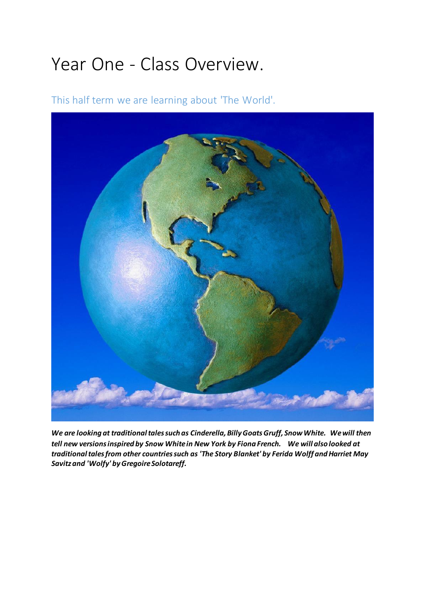## Year One - Class Overview.

This half term we are learning about 'The World'.



*We are looking at traditional tales such as Cinderella, Billy Goats Gruff, Snow White. We will then tell new versions inspired by Snow White in New York by Fiona French. We will also looked at traditional tales from other countries such as 'The Story Blanket' by Ferida Wolff and Harriet May Savitz and 'Wolfy' by Gregoire Solotareff.*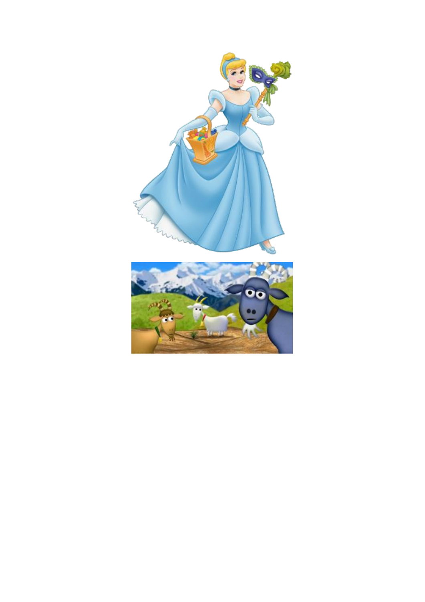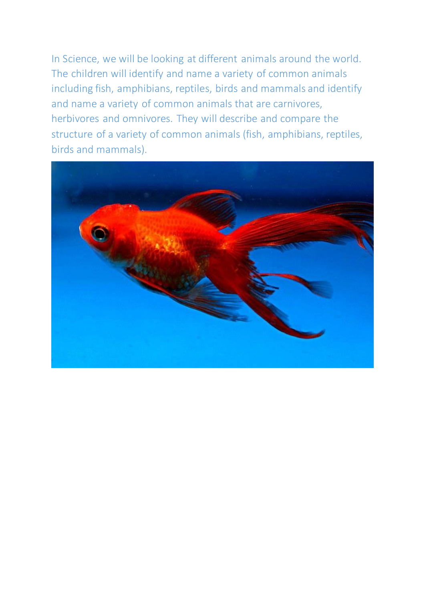In Science, we will be looking at different animals around the world. The children will identify and name a variety of common animals including fish, amphibians, reptiles, birds and mammals and identify and name a variety of common animals that are carnivores, herbivores and omnivores. They will describe and compare the structure of a variety of common animals (fish, amphibians, reptiles, birds and mammals).

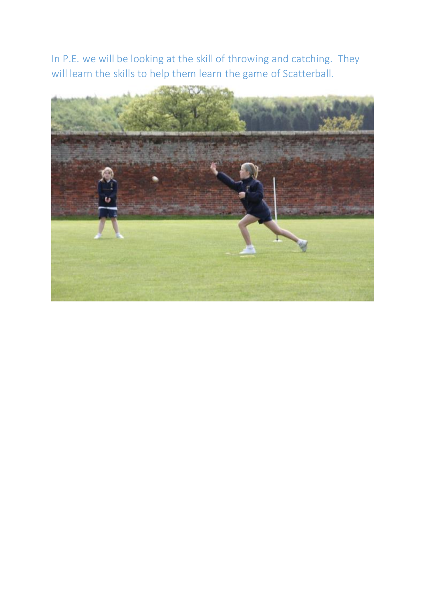In P.E. we will be looking at the skill of throwing and catching. They will learn the skills to help them learn the game of Scatterball.

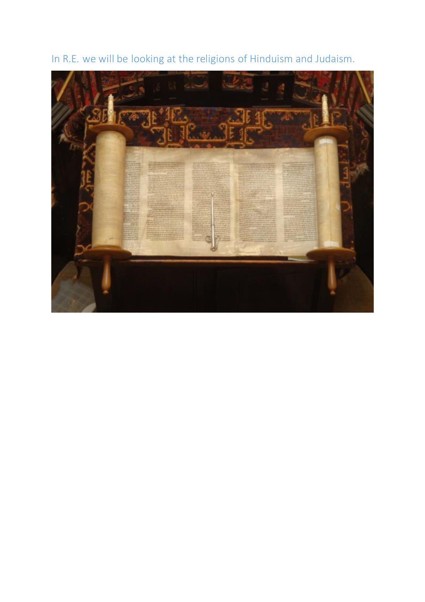

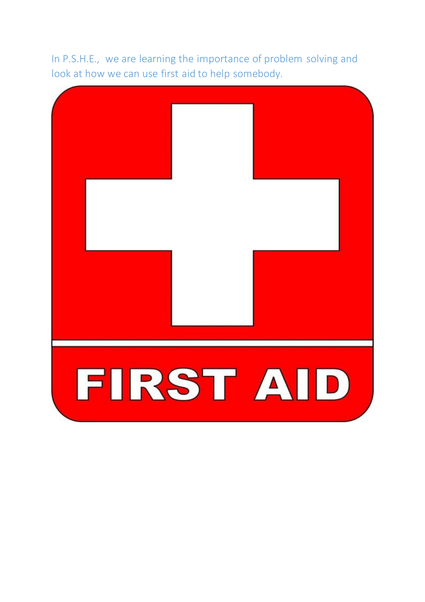In P.S.H.E., we are learning the importance of problem solving and look at how we can use first aid to help somebody.

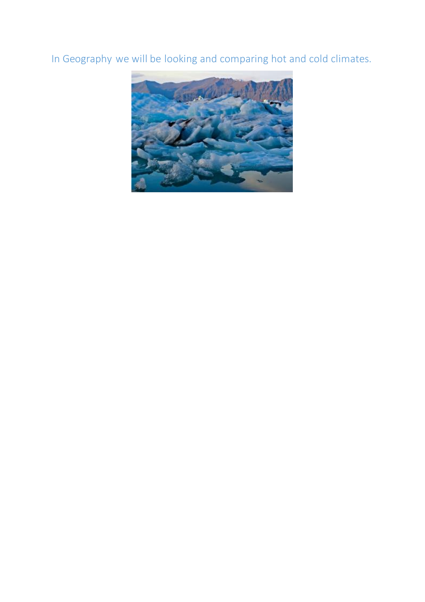In Geography we will be looking and comparing hot and cold climates.

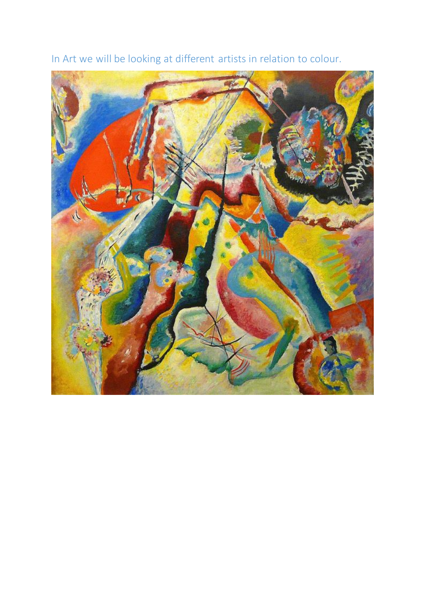

In Art we will be looking at different artists in relation to colour.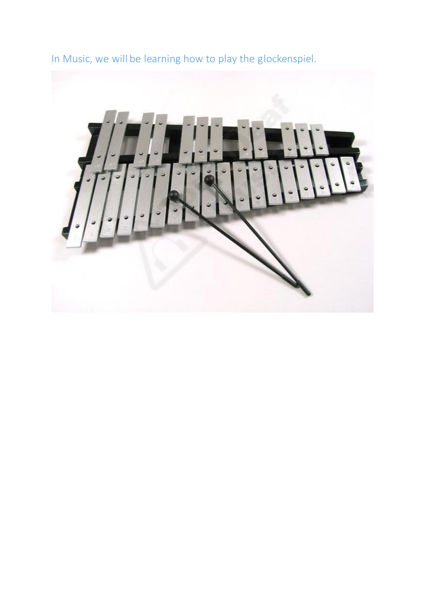

In Music, we will be learning how to play the glockenspiel.